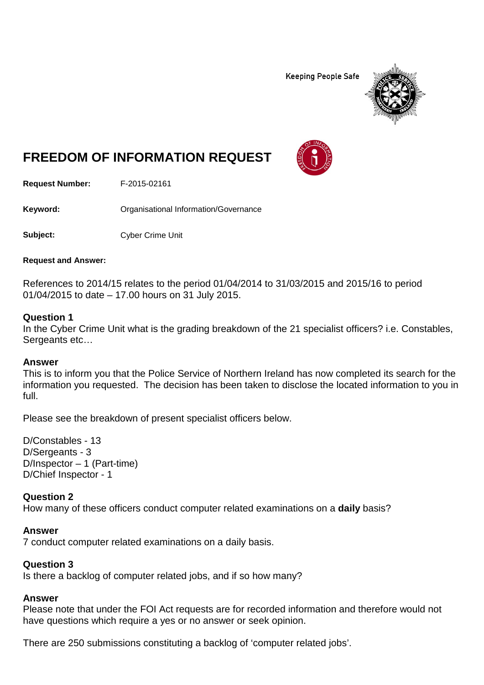**Keeping People Safe** 



# **FREEDOM OF INFORMATION REQUEST**

**Request Number:** F-2015-02161

Keyword: **Calcular Communists** Organisational Information/Governance

**Subject:** Cyber Crime Unit

**Request and Answer:**

References to 2014/15 relates to the period 01/04/2014 to 31/03/2015 and 2015/16 to period 01/04/2015 to date – 17.00 hours on 31 July 2015.

### **Question 1**

In the Cyber Crime Unit what is the grading breakdown of the 21 specialist officers? i.e. Constables, Sergeants etc…

### **Answer**

This is to inform you that the Police Service of Northern Ireland has now completed its search for the information you requested. The decision has been taken to disclose the located information to you in full.

Please see the breakdown of present specialist officers below.

D/Constables - 13 D/Sergeants - 3 D/Inspector – 1 (Part-time) D/Chief Inspector - 1

### **Question 2**

How many of these officers conduct computer related examinations on a **daily** basis?

### **Answer**

7 conduct computer related examinations on a daily basis.

### **Question 3**

Is there a backlog of computer related jobs, and if so how many?

# **Answer**

Please note that under the FOI Act requests are for recorded information and therefore would not have questions which require a yes or no answer or seek opinion.

There are 250 submissions constituting a backlog of 'computer related jobs'.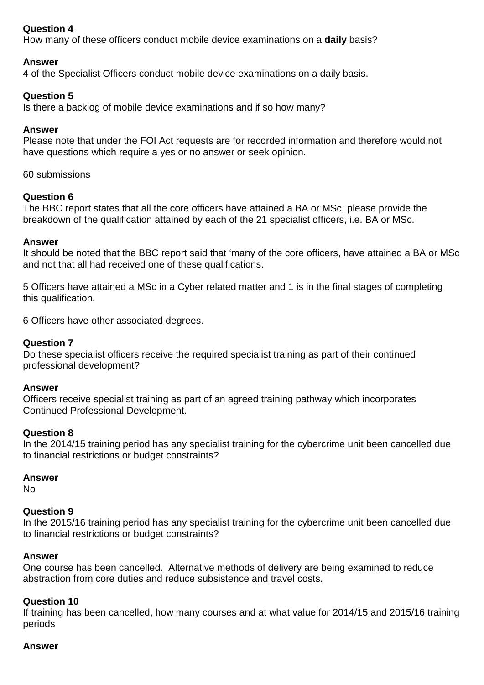# **Question 4**

How many of these officers conduct mobile device examinations on a **daily** basis?

### **Answer**

4 of the Specialist Officers conduct mobile device examinations on a daily basis.

### **Question 5**

Is there a backlog of mobile device examinations and if so how many?

### **Answer**

Please note that under the FOI Act requests are for recorded information and therefore would not have questions which require a yes or no answer or seek opinion.

### 60 submissions

### **Question 6**

The BBC report states that all the core officers have attained a BA or MSc; please provide the breakdown of the qualification attained by each of the 21 specialist officers, i.e. BA or MSc.

### **Answer**

It should be noted that the BBC report said that 'many of the core officers, have attained a BA or MSc and not that all had received one of these qualifications.

5 Officers have attained a MSc in a Cyber related matter and 1 is in the final stages of completing this qualification.

6 Officers have other associated degrees.

### **Question 7**

Do these specialist officers receive the required specialist training as part of their continued professional development?

#### **Answer**

Officers receive specialist training as part of an agreed training pathway which incorporates Continued Professional Development.

#### **Question 8**

In the 2014/15 training period has any specialist training for the cybercrime unit been cancelled due to financial restrictions or budget constraints?

### **Answer**

No

### **Question 9**

In the 2015/16 training period has any specialist training for the cybercrime unit been cancelled due to financial restrictions or budget constraints?

### **Answer**

One course has been cancelled. Alternative methods of delivery are being examined to reduce abstraction from core duties and reduce subsistence and travel costs.

### **Question 10**

If training has been cancelled, how many courses and at what value for 2014/15 and 2015/16 training periods

#### **Answer**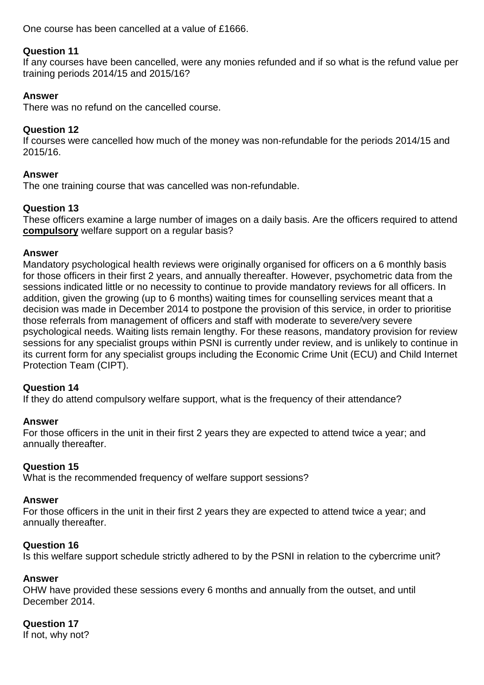One course has been cancelled at a value of £1666.

# **Question 11**

If any courses have been cancelled, were any monies refunded and if so what is the refund value per training periods 2014/15 and 2015/16?

# **Answer**

There was no refund on the cancelled course.

# **Question 12**

If courses were cancelled how much of the money was non-refundable for the periods 2014/15 and 2015/16.

# **Answer**

The one training course that was cancelled was non-refundable.

# **Question 13**

These officers examine a large number of images on a daily basis. Are the officers required to attend **compulsory** welfare support on a regular basis?

### **Answer**

Mandatory psychological health reviews were originally organised for officers on a 6 monthly basis for those officers in their first 2 years, and annually thereafter. However, psychometric data from the sessions indicated little or no necessity to continue to provide mandatory reviews for all officers. In addition, given the growing (up to 6 months) waiting times for counselling services meant that a decision was made in December 2014 to postpone the provision of this service, in order to prioritise those referrals from management of officers and staff with moderate to severe/very severe psychological needs. Waiting lists remain lengthy. For these reasons, mandatory provision for review sessions for any specialist groups within PSNI is currently under review, and is unlikely to continue in its current form for any specialist groups including the Economic Crime Unit (ECU) and Child Internet Protection Team (CIPT).

### **Question 14**

If they do attend compulsory welfare support, what is the frequency of their attendance?

### **Answer**

For those officers in the unit in their first 2 years they are expected to attend twice a year; and annually thereafter.

### **Question 15**

What is the recommended frequency of welfare support sessions?

# **Answer**

For those officers in the unit in their first 2 years they are expected to attend twice a year; and annually thereafter.

# **Question 16**

Is this welfare support schedule strictly adhered to by the PSNI in relation to the cybercrime unit?

# **Answer**

OHW have provided these sessions every 6 months and annually from the outset, and until December 2014.

# **Question 17**

If not, why not?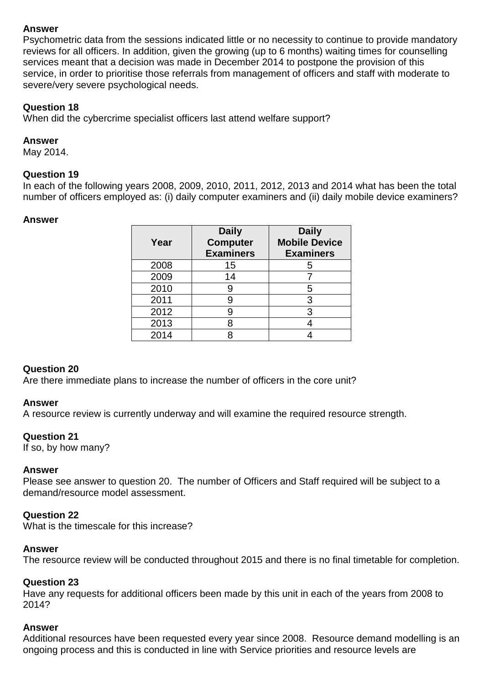## **Answer**

Psychometric data from the sessions indicated little or no necessity to continue to provide mandatory reviews for all officers. In addition, given the growing (up to 6 months) waiting times for counselling services meant that a decision was made in December 2014 to postpone the provision of this service, in order to prioritise those referrals from management of officers and staff with moderate to severe/very severe psychological needs.

# **Question 18**

When did the cybercrime specialist officers last attend welfare support?

### **Answer**

May 2014.

### **Question 19**

In each of the following years 2008, 2009, 2010, 2011, 2012, 2013 and 2014 what has been the total number of officers employed as: (i) daily computer examiners and (ii) daily mobile device examiners?

### **Answer**

| Year | <b>Daily</b><br><b>Computer</b><br><b>Examiners</b> | <b>Daily</b><br><b>Mobile Device</b><br><b>Examiners</b> |
|------|-----------------------------------------------------|----------------------------------------------------------|
| 2008 | 15                                                  | ხ                                                        |
| 2009 | 14                                                  |                                                          |
| 2010 |                                                     | 5                                                        |
| 2011 |                                                     | 3                                                        |
| 2012 |                                                     | 3                                                        |
| 2013 |                                                     |                                                          |
| 2014 |                                                     |                                                          |

# **Question 20**

Are there immediate plans to increase the number of officers in the core unit?

### **Answer**

A resource review is currently underway and will examine the required resource strength.

### **Question 21**

If so, by how many?

### **Answer**

Please see answer to question 20. The number of Officers and Staff required will be subject to a demand/resource model assessment.

### **Question 22**

What is the timescale for this increase?

### **Answer**

The resource review will be conducted throughout 2015 and there is no final timetable for completion.

### **Question 23**

Have any requests for additional officers been made by this unit in each of the years from 2008 to 2014?

### **Answer**

Additional resources have been requested every year since 2008. Resource demand modelling is an ongoing process and this is conducted in line with Service priorities and resource levels are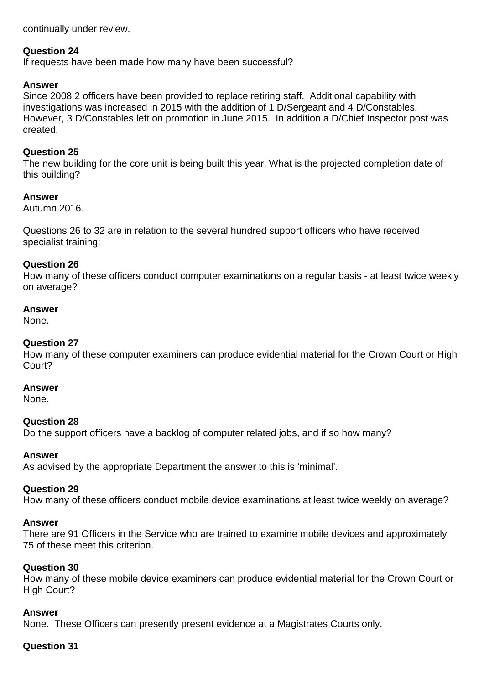continually under review.

### **Question 24**

If requests have been made how many have been successful?

### **Answer**

Since 2008 2 officers have been provided to replace retiring staff. Additional capability with investigations was increased in 2015 with the addition of 1 D/Sergeant and 4 D/Constables. However, 3 D/Constables left on promotion in June 2015. In addition a D/Chief Inspector post was created.

### **Question 25**

The new building for the core unit is being built this year. What is the projected completion date of this building?

### **Answer**

Autumn 2016.

Questions 26 to 32 are in relation to the several hundred support officers who have received specialist training:

### **Question 26**

How many of these officers conduct computer examinations on a regular basis - at least twice weekly on average?

### **Answer**

None.

### **Question 27**

How many of these computer examiners can produce evidential material for the Crown Court or High Court?

### **Answer**

None.

### **Question 28**

Do the support officers have a backlog of computer related jobs, and if so how many?

### **Answer**

As advised by the appropriate Department the answer to this is 'minimal'.

### **Question 29**

How many of these officers conduct mobile device examinations at least twice weekly on average?

#### **Answer**

There are 91 Officers in the Service who are trained to examine mobile devices and approximately 75 of these meet this criterion.

#### **Question 30**

How many of these mobile device examiners can produce evidential material for the Crown Court or High Court?

#### **Answer**

None. These Officers can presently present evidence at a Magistrates Courts only.

### **Question 31**